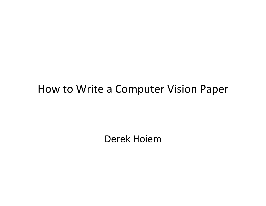#### How to Write a Computer Vision Paper

Derek Hoiem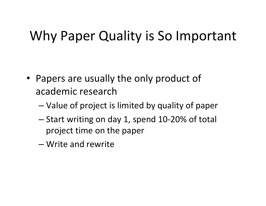# Why Paper Quality is So Important

- Papers are usually the only product of academic research
	- Value of project is limited by quality of paper
	- Start writing on day 1, spend 10-20% of total project time on the paper
	- Write and rewrite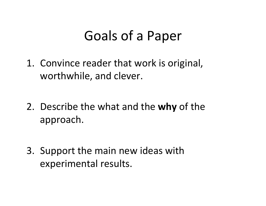## Goals of a Paper

- 1. Convince reader that work is original, worthwhile, and clever.
- 2. Describe the what and the **why** of the approach.
- 3. Support the main new ideas with experimental results.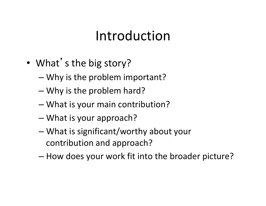## Introduction

- What's the big story?
	- $-$  Why is the problem important?
	- $-$  Why is the problem hard?
	- What is your main contribution?
	- $-$  What is your approach?
	- $-$  What is significant/worthy about your contribution and approach?
	- $-$  How does your work fit into the broader picture?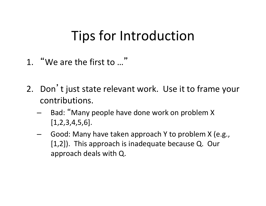## Tips for Introduction

- 1. "We are the first to ..."
- 2. Don't just state relevant work. Use it to frame your contributions.
	- Bad: "Many people have done work on problem X [1,2,3,4,5,6].
	- Good: Many have taken approach Y to problem X (e.g.,  $[1,2]$ ). This approach is inadequate because Q. Our approach deals with Q.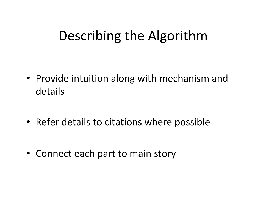## Describing the Algorithm

- Provide intuition along with mechanism and details
- Refer details to citations where possible
- Connect each part to main story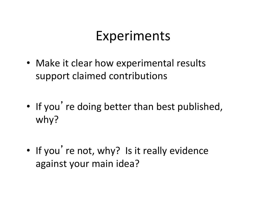## Experiments

- Make it clear how experimental results support claimed contributions
- If you're doing better than best published, why?
- If you're not, why? Is it really evidence against your main idea?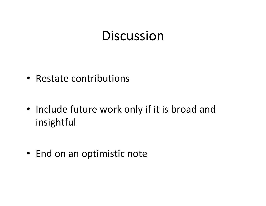#### **Discussion**

- Restate contributions
- Include future work only if it is broad and insightful
- End on an optimistic note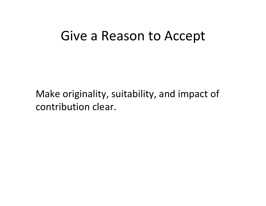#### Give a Reason to Accept

Make originality, suitability, and impact of contribution clear.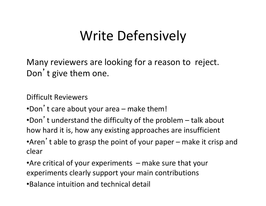# Write Defensively

Many reviewers are looking for a reason to reject. Don't give them one.

Difficult Reviewers

•Don't care about your area – make them!

•Don't understand the difficulty of the problem  $-$  talk about how hard it is, how any existing approaches are insufficient •Aren't able to grasp the point of your paper – make it crisp and

clear 

•Are critical of your experiments  $-$  make sure that your experiments clearly support your main contributions

•Balance intuition and technical detail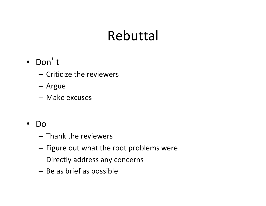## Rebuttal

- Don't
	- Criticize the reviewers
	- Argue
	- Make excuses
- Do
	- Thank the reviewers
	- Figure out what the root problems were
	- Directly address any concerns
	- Be as brief as possible